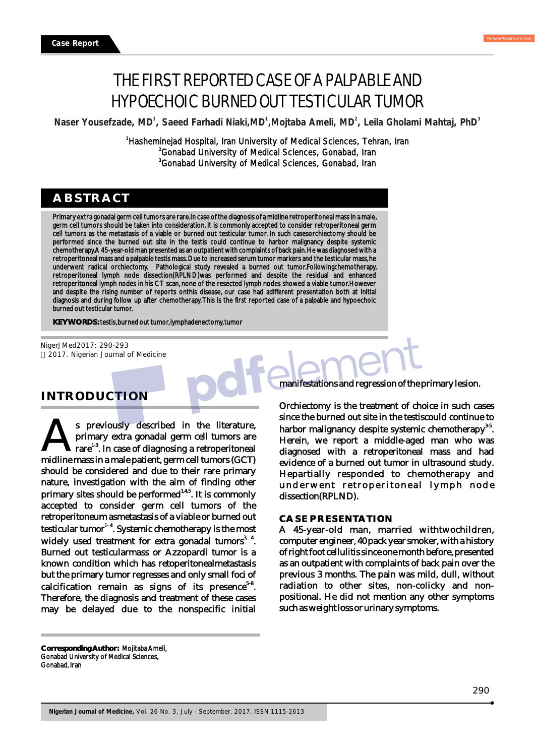# THE FIRST REPORTED CASE OF A PALPABLE AND HYPOECHOIC BURNED OUT TESTICULAR TUMOR

Naser Yousefzade, MD<sup>1</sup>, Saeed Farhadi Niaki, MD<sup>1</sup>, Mojtaba Ameli, MD<sup>2</sup>, Leila Gholami Mahtaj, PhD<sup>3</sup>

<sup>1</sup>Hasheminejad Hospital, Iran University of Medical Sciences, Tehran, Iran <sup>2</sup>Gonabad University of Medical Sciences, Gonabad, Iran <sup>3</sup>Gonabad University of Medical Sciences, Gonabad, Iran

## **ABSTRACT**

Primary extra gonadal germ cell tumors are rare.In case of the diagnosis of a midline retroperitoneal mass in a male, germ cell tumors should be taken into consideration. It is commonly accepted to consider retroperitoneal germ cell tumors as the metastasis of a viable or burned out testicular tumor. In such casesorchiectomy should be performed since the burned out site in the testis could continue to harbor malignancy despite systemic chemotherapy. A 45-year-old man presented as an outpatient with complaints of back pain. He was diagnosed with a retroperitoneal mass and a palpable testis mass. Due to increased serum tumor markers and the testicular mass, he underwent radical orchiectomy. Pathological study revealed a burned out tumor.Followingchemotherapy, retroperitoneal lymph node dissection(RPLND)was performed and despite the residual and enhanced retroperitoneal lymph nodes in his CT scan, none of the resected lymph nodes showed a viable tumor.However and despite the rising number of reports onthis disease, our case had adifferent presentation both at initial diagnosis and during follow up after chemotherapy. This is the first reported case of a palpable and hypoechoic burned out testicular tumor.

**KEY WORDS:** testis, burned out tumor, lymphadenectomy, tumor

NigerJMed2017: 290-293 2017. Nigerian Journal of Medicine

## **INTRODUCTION**

s previously described in the literature, primary extra gonadal germ cell tumors are  $\text{trace}^{1\text{-}3}$ . In case of diagnosing a retroperitoneal midline mass in a male patient, germ cell tumors (GCT) should be considered and due to their rare primary nature, investigation with the aim of finding other primary sites should be performed<sup> $1.4.5$ </sup>. It is commonly accepted to consider germ cell tumors of the retroperitoneum asmetastasis of a viable or burned out testicular tumor<sup>1-4</sup>. Systemic chemotherapy is the most widely used treatment for extra gonadal tumors<sup>3, 4</sup>. Burned out testicularmass or Azzopardi tumor is a known condition which has retoperitonealmetastasis but the primary tumor regresses and only small foci of calcification remain as signs of its presence<sup>5-8</sup>. Therefore, the diagnosis and treatment of these cases may be delayed due to the nonspecific initial

manifestations and regression of the primary lesion.

Orchiectomy is the treatment of choice in such cases since the burned out site in the testiscould continue to harbor malignancy despite systemic chemotherapy $35$ . Herein, we report a middle-aged man who was diagnosed with a retroperitoneal mass and had evidence of a burned out tumor in ultrasound study. Hepartially responded to chemotherapy and underwent retroperitoneal lymph node dissection(RPLND).

#### **CASE PRESENTATION**

A 45-year-old man, married withtwochildren, computer engineer, 40 pack year smoker, with a history of right foot cellulitis since one month before, presented as an outpatient with complaints of back pain over the previous 3 months. The pain was mild, dull, without radiation to other sites, non-colicky and nonpositional. He did not mention any other symptoms such as weight loss or urinary symptoms.

**Corresponding Author:** Mojitaba Ameli, Gonabad University of Medical Sciences, Gonabad, Iran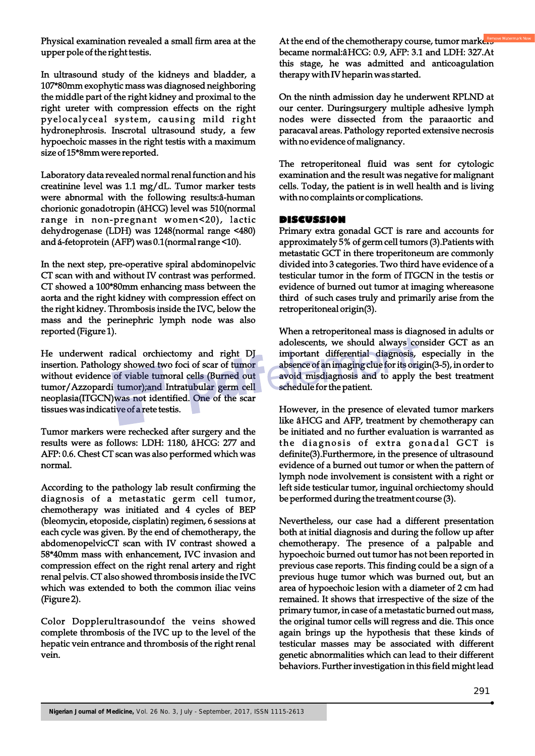Physical examination revealed a small firm area at the upper pole of the right testis.

In ultrasound study of the kidneys and bladder, a 107\*80mm exophytic mass was diagnosed neighboring the middle part of the right kidney and proximal to the right ureter with compression effects on the right pyelocalyceal system, causing mild right hydronephrosis. Inscrotal ultrasound study, a few hypoechoic masses in the right testis with a maximum size of 15\*8mm were reported.

Laboratory data revealed normal renal function and his creatinine level was 1.1 mg/dL. Tumor marker tests were abnormal with the following results:â-human chorionic gonadotropin (âHCG) level was 510(normal range in non-pregnant women<20), lactic dehydrogenase (LDH) was 1248(normal range <480) and á-fetoprotein (AFP) was 0.1(normal range <10).

In the next step, pre-operative spiral abdominopelvic CT scan with and without IV contrast was performed. CT showed a 100\*80mm enhancing mass between the aorta and the right kidney with compression effect on the right kidney. Thrombosis inside the IVC, below the mass and the perinephric lymph node was also reported (Figure 1).

He underwent radical orchiectomy and right DJ insertion. Pathology showed two foci of scar of tumor without evidence of viable tumoral cells (Burned out tumor/Azzopardi tumor);and Intratubular germ cell neoplasia(ITGCN)was not identified. One of the scar tissues was indicative of a rete testis.

Tumor markers were rechecked after surgery and the results were as follows: LDH: 1180, âHCG: 277 and AFP: 0.6. Chest CT scan was also performed which was normal.

According to the pathology lab result confirming the diagnosis of a metastatic germ cell tumor, chemotherapy was initiated and 4 cycles of BEP (bleomycin, etoposide, cisplatin) regimen, 6 sessions at each cycle was given. By the end of chemotherapy, the abdomenopelvicCT scan with IV contrast showed a 58\*40mm mass with enhancement, IVC invasion and compression effect on the right renal artery and right renal pelvis. CT also showed thrombosis inside the IVC which was extended to both the common iliac veins (Figure 2).

Color Dopplerultrasoundof the veins showed complete thrombosis of the IVC up to the level of the hepatic vein entrance and thrombosis of the right renal vein.

At the end of the chemotherapy course, tumor markers became normal:âHCG: 0.9, AFP: 3.1 and LDH: 327.At this stage, he was admitted and anticoagulation therapy with IV heparin was started.

On the ninth admission day he underwent RPLND at our center. Duringsurgery multiple adhesive lymph nodes were dissected from the paraaortic and paracaval areas. Pathology reported extensive necrosis with no evidence of malignancy.

The retroperitoneal fluid was sent for cytologic examination and the result was negative for malignant cells. Today, the patient is in well health and is living with no complaints or complications.

### **DISCUSSION**

Primary extra gonadal GCT is rare and accounts for approximately 5% of germ cell tumors (3).Patients with metastatic GCT in there troperitoneum are commonly divided into 3 categories. Two third have evidence of a testicular tumor in the form of ITGCN in the testis or evidence of burned out tumor at imaging whereasone third of such cases truly and primarily arise from the retroperitoneal origin(3).

When a retroperitoneal mass is diagnosed in adults or adolescents, we should always consider GCT as an important differential diagnosis, especially in the absence of an imaging clue for its origin(3-5), in order to avoid misdiagnosis and to apply the best treatment schedule for the patient.

However, in the presence of elevated tumor markers like âHCG and AFP, treatment by chemotherapy can be initiated and no further evaluation is warranted as the diagnosis of extra gonadal GCT is definite(3).Furthermore, in the presence of ultrasound evidence of a burned out tumor or when the pattern of lymph node involvement is consistent with a right or left side testicular tumor, inguinal orchiectomy should be performed during the treatment course (3).

Nevertheless, our case had a different presentation both at initial diagnosis and during the follow up after chemotherapy. The presence of a palpable and hypoechoic burned out tumor has not been reported in previous case reports. This finding could be a sign of a previous huge tumor which was burned out, but an area of hypoechoic lesion with a diameter of 2 cm had remained. It shows that irrespective of the size of the primary tumor, in case of a metastatic burned out mass, the original tumor cells will regress and die. This once again brings up the hypothesis that these kinds of testicular masses may be associated with different genetic abnormalities which can lead to their different behaviors. Further investigation in this field might lead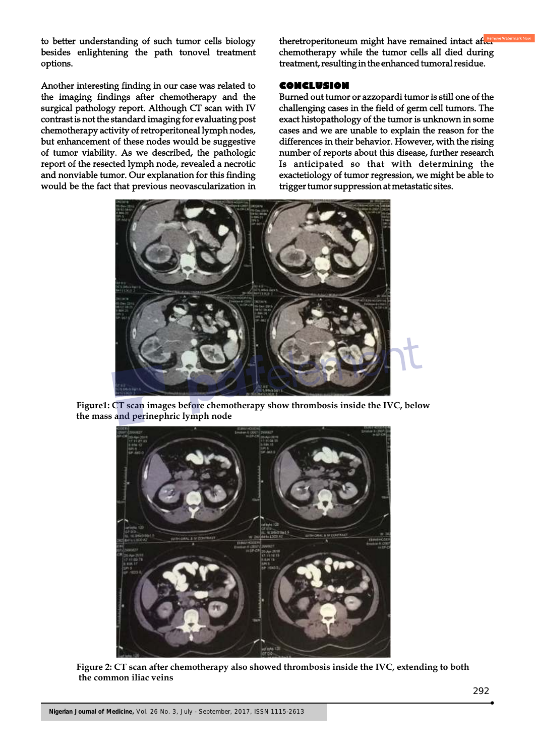to better understanding of such tumor cells biology besides enlightening the path tonovel treatment options.

Another interesting finding in our case was related to the imaging findings after chemotherapy and the surgical pathology report. Although CT scan with IV contrast is not the standard imaging for evaluating post chemotherapy activity of retroperitoneal lymph nodes, but enhancement of these nodes would be suggestive of tumor viability. As we described, the pathologic report of the resected lymph node, revealed a necrotic and nonviable tumor. Our explanation for this finding would be the fact that previous neovascularization in

theretroperitoneum might have remained intact after chemotherapy while the tumor cells all died during treatment, resulting in the enhanced tumoral residue.

#### **CONCLUSION**

Burned out tumor or azzopardi tumor is still one of the challenging cases in the field of germ cell tumors. The exact histopathology of the tumor is unknown in some cases and we are unable to explain the reason for the differences in their behavior. However, with the rising number of reports about this disease, further research Is anticipated so that with determining the exactetiology of tumor regression, we might be able to trigger tumor suppression at metastatic sites.



**Figure1: CT scan images before chemotherapy show thrombosis inside the IVC, below the mass and perinephric lymph node**



**Figure 2: CT scan after chemotherapy also showed thrombosis inside the IVC, extending to both the common iliac veins**